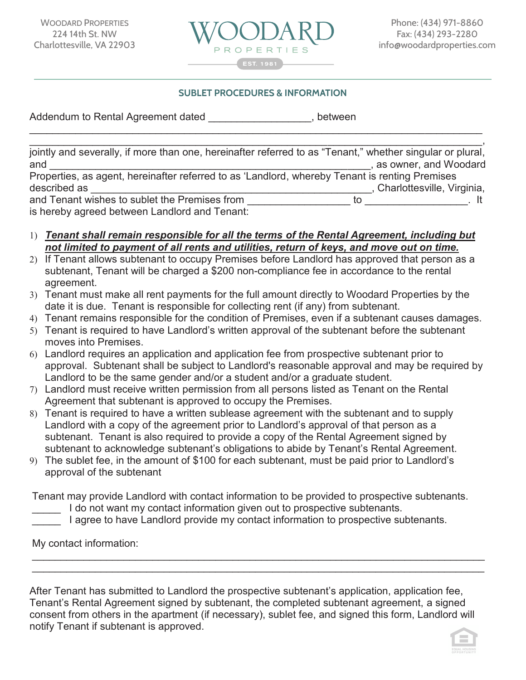

## **SUBLET PROCEDURES & INFORMATION SUBLET PROCEDURES & INFORMATION:**

Addendum to Rental Agreement dated entitled and postmern performance of the Rental Agreement dated

| jointly and severally, if more than one, hereinafter referred to as "Tenant," whether singular or plural, |    |                            |
|-----------------------------------------------------------------------------------------------------------|----|----------------------------|
| and                                                                                                       |    | as owner, and Woodard      |
| Properties, as agent, hereinafter referred to as 'Landlord, whereby Tenant is renting Premises            |    |                            |
| described as                                                                                              |    | Charlottesville, Virginia, |
| and Tenant wishes to sublet the Premises from                                                             | īΩ |                            |
| is hereby agreed between Landlord and Tenant:                                                             |    |                            |

 $\_$  , and the contribution of the contribution of  $\mathcal{L}_1$  , and the contribution of  $\mathcal{L}_2$  , and  $\mathcal{L}_3$ 

- 1) *Tenant shall remain responsible for all the terms of the Rental Agreement, including but not limited to payment of all rents and utilities, return of keys, and move out on time.*
- 2) If Tenant allows subtenant to occupy Premises before Landlord has approved that person as a subtenant, Tenant will be charged a \$200 non-compliance fee in accordance to the rental agreement.
- 3) Tenant must make all rent payments for the full amount directly to Woodard Properties by the date it is due. Tenant is responsible for collecting rent (if any) from subtenant.
- 4) Tenant remains responsible for the condition of Premises, even if a subtenant causes damages.
- 5) Tenant is required to have Landlord's written approval of the subtenant before the subtenant moves into Premises.
- 6) Landlord requires an application and application fee from prospective subtenant prior to approval. Subtenant shall be subject to Landlord's reasonable approval and may be required by Landlord to be the same gender and/or a student and/or a graduate student.
- 7) Landlord must receive written permission from all persons listed as Tenant on the Rental Agreement that subtenant is approved to occupy the Premises.
- 8) Tenant is required to have a written sublease agreement with the subtenant and to supply Landlord with a copy of the agreement prior to Landlord's approval of that person as a subtenant. Tenant is also required to provide a copy of the Rental Agreement signed by subtenant to acknowledge subtenant's obligations to abide by Tenant's Rental Agreement.
- 9) The sublet fee, in the amount of \$100 for each subtenant, must be paid prior to Landlord's approval of the subtenant

Tenant may provide Landlord with contact information to be provided to prospective subtenants.

I do not want my contact information given out to prospective subtenants.

I agree to have Landlord provide my contact information to prospective subtenants.

My contact information:

consent from others in the apartment (if necessary), sublet fee, and signed this form, Landlord will After Tenant has submitted to Landlord the prospective subtenant's application, application fee, Tenant's Rental Agreement signed by subtenant, the completed subtenant agreement, a signed notify Tenant if subtenant is approved.

 $\_$  , and the set of the set of the set of the set of the set of the set of the set of the set of the set of the set of the set of the set of the set of the set of the set of the set of the set of the set of the set of th  $\_$  , and the contribution of the contribution of  $\mathcal{L}_1$  , and the contribution of  $\mathcal{L}_2$  , and the contribution of  $\mathcal{L}_1$